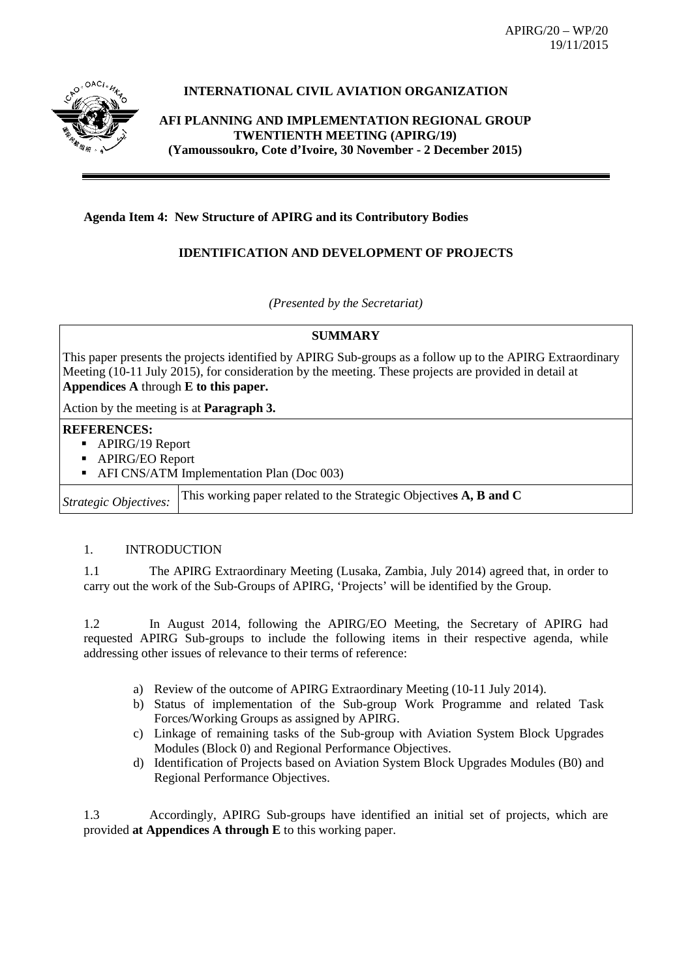

# **INTERNATIONAL CIVIL AVIATION ORGANIZATION**

**AFI PLANNING AND IMPLEMENTATION REGIONAL GROUP TWENTIENTH MEETING (APIRG/19) (Yamoussoukro, Cote d'Ivoire, 30 November - 2 December 2015)**

# **Agenda Item 4: New Structure of APIRG and its Contributory Bodies**

# **IDENTIFICATION AND DEVELOPMENT OF PROJECTS**

*(Presented by the Secretariat)*

### **SUMMARY**

This paper presents the projects identified by APIRG Sub-groups as a follow up to the APIRG Extraordinary Meeting (10-11 July 2015), for consideration by the meeting. These projects are provided in detail at **Appendices A** through **E to this paper.**

Action by the meeting is at **Paragraph 3.**

#### **REFERENCES:**

- APIRG/19 Report
- **APIRG/EO Report**
- AFI CNS/ATM Implementation Plan (Doc 003)

*Strategic Objectives:* This working paper related to the Strategic Objective**<sup>s</sup> A, B and C**

#### 1. INTRODUCTION

1.1 The APIRG Extraordinary Meeting (Lusaka, Zambia, July 2014) agreed that, in order to carry out the work of the Sub-Groups of APIRG, 'Projects' will be identified by the Group.

1.2 In August 2014, following the APIRG/EO Meeting, the Secretary of APIRG had requested APIRG Sub-groups to include the following items in their respective agenda, while addressing other issues of relevance to their terms of reference:

- a) Review of the outcome of APIRG Extraordinary Meeting (10-11 July 2014).
- b) Status of implementation of the Sub-group Work Programme and related Task Forces/Working Groups as assigned by APIRG.
- c) Linkage of remaining tasks of the Sub-group with Aviation System Block Upgrades Modules (Block 0) and Regional Performance Objectives.
- d) Identification of Projects based on Aviation System Block Upgrades Modules (B0) and Regional Performance Objectives.

1.3 Accordingly, APIRG Sub-groups have identified an initial set of projects, which are provided **at Appendices A through E** to this working paper.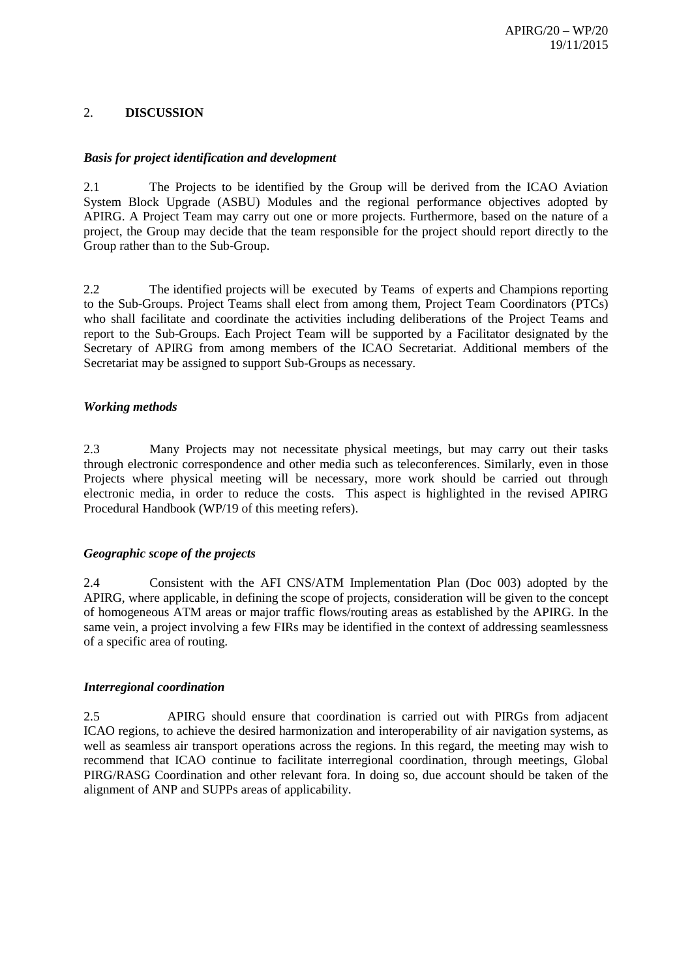## 2. **DISCUSSION**

## *Basis for project identification and development*

2.1 The Projects to be identified by the Group will be derived from the ICAO Aviation System Block Upgrade (ASBU) Modules and the regional performance objectives adopted by APIRG. A Project Team may carry out one or more projects. Furthermore, based on the nature of a project, the Group may decide that the team responsible for the project should report directly to the Group rather than to the Sub-Group.

2.2 The identified projects will be executed by Teams of experts and Champions reporting to the Sub-Groups. Project Teams shall elect from among them, Project Team Coordinators (PTCs) who shall facilitate and coordinate the activities including deliberations of the Project Teams and report to the Sub-Groups. Each Project Team will be supported by a Facilitator designated by the Secretary of APIRG from among members of the ICAO Secretariat. Additional members of the Secretariat may be assigned to support Sub-Groups as necessary.

### *Working methods*

2.3 Many Projects may not necessitate physical meetings, but may carry out their tasks through electronic correspondence and other media such as teleconferences. Similarly, even in those Projects where physical meeting will be necessary, more work should be carried out through electronic media, in order to reduce the costs. This aspect is highlighted in the revised APIRG Procedural Handbook (WP/19 of this meeting refers).

## *Geographic scope of the projects*

2.4 Consistent with the AFI CNS/ATM Implementation Plan (Doc 003) adopted by the APIRG, where applicable, in defining the scope of projects, consideration will be given to the concept of homogeneous ATM areas or major traffic flows/routing areas as established by the APIRG. In the same vein, a project involving a few FIRs may be identified in the context of addressing seamlessness of a specific area of routing.

#### *Interregional coordination*

2.5 APIRG should ensure that coordination is carried out with PIRGs from adjacent ICAO regions, to achieve the desired harmonization and interoperability of air navigation systems, as well as seamless air transport operations across the regions. In this regard, the meeting may wish to recommend that ICAO continue to facilitate interregional coordination, through meetings, Global PIRG/RASG Coordination and other relevant fora. In doing so, due account should be taken of the alignment of ANP and SUPPs areas of applicability.